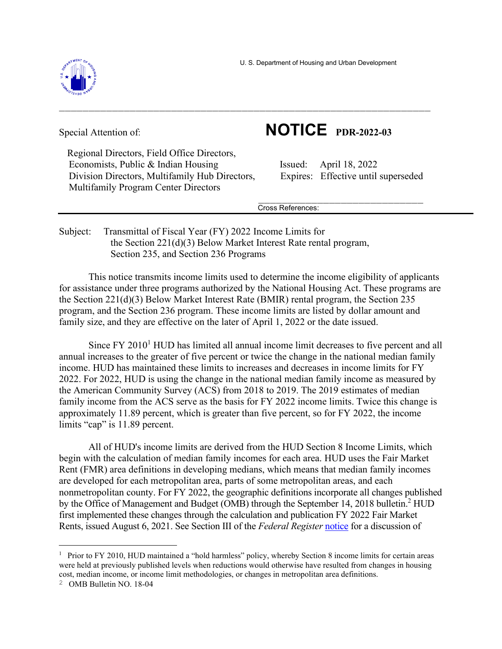U. S. Department of Housing and Urban Development



Special Attention of: **NOTICE PDR-2022-03** 

 Regional Directors, Field Office Directors, Economists, Public & Indian Housing Issued: April 18, 2022 Division Directors, Multifamily Hub Directors, Expires: Effective until superseded Multifamily Program Center Directors

 $\mathcal{L}_\text{max}$  and  $\mathcal{L}_\text{max}$  and  $\mathcal{L}_\text{max}$  are the contract of the contract of the contract of the contract of the contract of the contract of the contract of the contract of the contract of the contract of the con Cross References:

Subject: Transmittal of Fiscal Year (FY) 2022 Income Limits for the Section 221(d)(3) Below Market Interest Rate rental program, Section 235, and Section 236 Programs

This notice transmits income limits used to determine the income eligibility of applicants for assistance under three programs authorized by the National Housing Act. These programs are the Section 221(d)(3) Below Market Interest Rate (BMIR) rental program, the Section 235 program, and the Section 236 program. These income limits are listed by dollar amount and family size, and they are effective on the later of April 1, 2022 or the date issued.

 $\_$  , and the contribution of the contribution of  $\mathcal{L}_\mathcal{A}$  , and the contribution of  $\mathcal{L}_\mathcal{A}$  , and

Since FY 2010<sup>1</sup> HUD has limited all annual income limit decreases to five percent and all annual increases to the greater of five percent or twice the change in the national median family income. HUD has maintained these limits to increases and decreases in income limits for FY 2022. For 2022, HUD is using the change in the national median family income as measured by the American Community Survey (ACS) from 2018 to 2019. The 2019 estimates of median family income from the ACS serve as the basis for FY 2022 income limits. Twice this change is approximately 11.89 percent, which is greater than five percent, so for FY 2022, the income limits "cap" is 11.89 percent.

All of HUD's income limits are derived from the HUD Section 8 Income Limits, which begin with the calculation of median family incomes for each area. HUD uses the Fair Market Rent (FMR) area definitions in developing medians, which means that median family incomes are developed for each metropolitan area, parts of some metropolitan areas, and each nonmetropolitan county. For FY 2022, the geographic definitions incorporate all changes published by the Office of Management and Budget (OMB) through the September 14, 2018 bulletin.<sup>2</sup> HUD first implemented these changes through the calculation and publication FY 2022 Fair Market Rents, issued August 6, 2021. See Section III of the *Federal Register* notice for a discussion of

 $1$  Prior to FY 2010, HUD maintained a "hold harmless" policy, whereby Section 8 income limits for certain areas were held at previously published levels when reductions would otherwise have resulted from changes in housing cost, median income, or income limit methodologies, or changes in metropolitan area definitions.

<sup>2</sup> OMB Bulletin NO. 18-04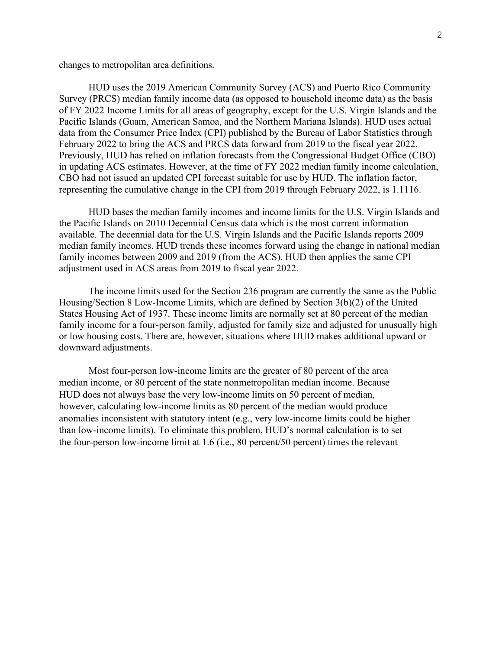changes to metropolitan area definitions.

HUD uses the 2019 American Community Survey (ACS) and Puerto Rico Community Survey (PRCS) median family income data (as opposed to household income data) as the basis of FY 2022 Income Limits for all areas of geography, except for the U.S. Virgin Islands and the Pacific Islands (Guam, American Samoa, and the Northern Mariana Islands). HUD uses actual data from the Consumer Price Index (CPI) published by the Bureau of Labor Statistics through February 2022 to bring the ACS and PRCS data forward from 2019 to the fiscal year 2022. Previously, HUD has relied on inflation forecasts from the Congressional Budget Office (CBO) in updating ACS estimates. However, at the time of FY 2022 median family income calculation, CBO had not issued an updated CPI forecast suitable for use by HUD. The inflation factor, representing the cumulative change in the CPI from 2019 through February 2022, is 1.1116.

HUD bases the median family incomes and income limits for the U.S. Virgin Islands and the Pacific Islands on 2010 Decennial Census data which is the most current information available. The decennial data for the U.S. Virgin Islands and the Pacific Islands reports 2009 median family incomes. HUD trends these incomes forward using the change in national median family incomes between 2009 and 2019 (from the ACS). HUD then applies the same CPI adjustment used in ACS areas from 2019 to fiscal year 2022.

The income limits used for the Section 236 program are currently the same as the Public Housing/Section 8 Low-Income Limits, which are defined by Section 3(b)(2) of the United States Housing Act of 1937. These income limits are normally set at 80 percent of the median family income for a four-person family, adjusted for family size and adjusted for unusually high or low housing costs. There are, however, situations where HUD makes additional upward or downward adjustments.

Most four-person low-income limits are the greater of 80 percent of the area median income, or 80 percent of the state nonmetropolitan median income. Because HUD does not always base the very low-income limits on 50 percent of median, however, calculating low-income limits as 80 percent of the median would produce anomalies inconsistent with statutory intent (e.g., very low-income limits could be higher than low-income limits). To eliminate this problem, HUD's normal calculation is to set the four-person low-income limit at 1.6 (i.e., 80 percent/50 percent) times the relevant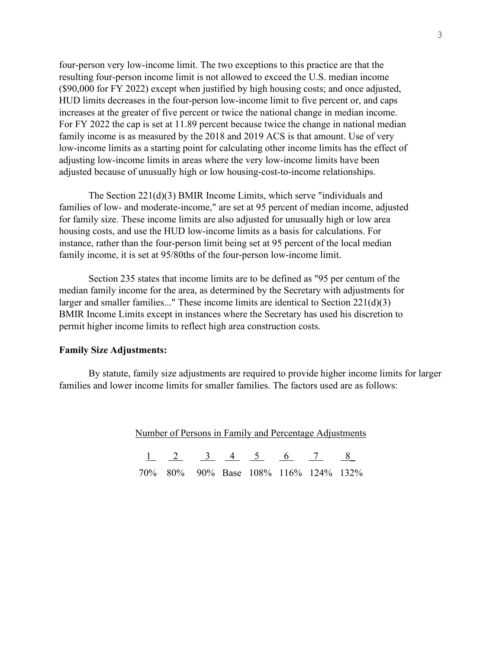four-person very low-income limit. The two exceptions to this practice are that the resulting four-person income limit is not allowed to exceed the U.S. median income (\$90,000 for FY 2022) except when justified by high housing costs; and once adjusted, HUD limits decreases in the four-person low-income limit to five percent or, and caps increases at the greater of five percent or twice the national change in median income. For FY 2022 the cap is set at 11.89 percent because twice the change in national median family income is as measured by the 2018 and 2019 ACS is that amount. Use of very low-income limits as a starting point for calculating other income limits has the effect of adjusting low-income limits in areas where the very low-income limits have been adjusted because of unusually high or low housing-cost-to-income relationships.

The Section 221(d)(3) BMIR Income Limits, which serve "individuals and families of low- and moderate-income," are set at 95 percent of median income, adjusted for family size. These income limits are also adjusted for unusually high or low area housing costs, and use the HUD low-income limits as a basis for calculations. For instance, rather than the four-person limit being set at 95 percent of the local median family income, it is set at 95/80ths of the four-person low-income limit.

Section 235 states that income limits are to be defined as "95 per centum of the median family income for the area, as determined by the Secretary with adjustments for larger and smaller families..." These income limits are identical to Section 221(d)(3) BMIR Income Limits except in instances where the Secretary has used his discretion to permit higher income limits to reflect high area construction costs.

## **Family Size Adjustments:**

By statute, family size adjustments are required to provide higher income limits for larger families and lower income limits for smaller families. The factors used are as follows:

| Number of Persons in Family and Percentage Adjustments |  |  |  |  |                                 |  |                                      |
|--------------------------------------------------------|--|--|--|--|---------------------------------|--|--------------------------------------|
|                                                        |  |  |  |  | $1 \t2 \t3 \t4 \t5 \t6 \t7 \t8$ |  |                                      |
|                                                        |  |  |  |  |                                 |  | 70% 80% 90% Base 108% 116% 124% 132% |